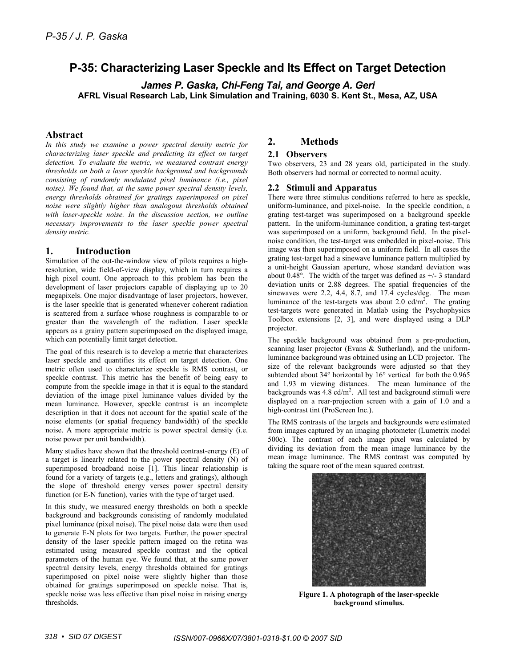# **P-35: Characterizing Laser Speckle and Its Effect on Target Detection**

*James P. Gaska, Chi-Feng Tai, and George A. Geri*  **AFRL Visual Research Lab, Link Simulation and Training, 6030 S. Kent St., Mesa, AZ, USA** 

# **Abstract**

*In this study we examine a power spectral density metric for characterizing laser speckle and predicting its effect on target detection. To evaluate the metric, we measured contrast energy thresholds on both a laser speckle background and backgrounds consisting of randomly modulated pixel luminance (i.e., pixel noise). We found that, at the same power spectral density levels, energy thresholds obtained for gratings superimposed on pixel noise were slightly higher than analogous thresholds obtained with laser-speckle noise. In the discussion section, we outline necessary improvements to the laser speckle power spectral density metric.* 

# **1. Introduction**

Simulation of the out-the-window view of pilots requires a highresolution, wide field-of-view display, which in turn requires a high pixel count. One approach to this problem has been the development of laser projectors capable of displaying up to 20 megapixels. One major disadvantage of laser projectors, however, is the laser speckle that is generated whenever coherent radiation is scattered from a surface whose roughness is comparable to or greater than the wavelength of the radiation. Laser speckle appears as a grainy pattern superimposed on the displayed image, which can potentially limit target detection.

The goal of this research is to develop a metric that characterizes laser speckle and quantifies its effect on target detection. One metric often used to characterize speckle is RMS contrast, or speckle contrast. This metric has the benefit of being easy to compute from the speckle image in that it is equal to the standard deviation of the image pixel luminance values divided by the mean luminance. However, speckle contrast is an incomplete description in that it does not account for the spatial scale of the noise elements (or spatial frequency bandwidth) of the speckle noise. A more appropriate metric is power spectral density (i.e. noise power per unit bandwidth).

Many studies have shown that the threshold contrast-energy (E) of a target is linearly related to the power spectral density (N) of superimposed broadband noise [1]. This linear relationship is found for a variety of targets (e.g., letters and gratings), although the slope of threshold energy verses power spectral density function (or E-N function), varies with the type of target used.

In this study, we measured energy thresholds on both a speckle background and backgrounds consisting of randomly modulated pixel luminance (pixel noise). The pixel noise data were then used to generate E-N plots for two targets. Further, the power spectral density of the laser speckle pattern imaged on the retina was estimated using measured speckle contrast and the optical parameters of the human eye. We found that, at the same power spectral density levels, energy thresholds obtained for gratings superimposed on pixel noise were slightly higher than those obtained for gratings superimposed on speckle noise. That is, speckle noise was less effective than pixel noise in raising energy thresholds.

# **2. Methods**

### **2.1 Observers**

Two observers, 23 and 28 years old, participated in the study. Both observers had normal or corrected to normal acuity.

#### **2.2 Stimuli and Apparatus**

There were three stimulus conditions referred to here as speckle, uniform-luminance, and pixel-noise. In the speckle condition, a grating test-target was superimposed on a background speckle pattern. In the uniform-luminance condition, a grating test-target was superimposed on a uniform, background field. In the pixelnoise condition, the test-target was embedded in pixel-noise. This image was then superimposed on a uniform field. In all cases the grating test-target had a sinewave luminance pattern multiplied by a unit-height Gaussian aperture, whose standard deviation was about 0.48 $^{\circ}$ . The width of the target was defined as  $+/-3$  standard deviation units or 2.88 degrees. The spatial frequencies of the sinewaves were 2.2, 4.4, 8.7, and 17.4 cycles/deg. The mean luminance of the test-targets was about  $2.0 \text{ cd/m}^2$ . The grating test-targets were generated in Matlab using the Psychophysics Toolbox extensions [2, 3], and were displayed using a DLP projector.

The speckle background was obtained from a pre-production, scanning laser projector (Evans & Sutherland), and the uniformluminance background was obtained using an LCD projector. The size of the relevant backgrounds were adjusted so that they subtended about 34° horizontal by 16° vertical for both the 0.965 and 1.93 m viewing distances. The mean luminance of the backgrounds was  $4.8 \text{ cd/m}^2$ . All test and background stimuli were displayed on a rear-projection screen with a gain of 1.0 and a high-contrast tint (ProScreen Inc.).

The RMS contrasts of the targets and backgrounds were estimated from images captured by an imaging photometer (Lumetrix model 500c). The contrast of each image pixel was calculated by dividing its deviation from the mean image luminance by the mean image luminance. The RMS contrast was computed by taking the square root of the mean squared contrast.



**Figure 1. A photograph of the laser-speckle background stimulus.**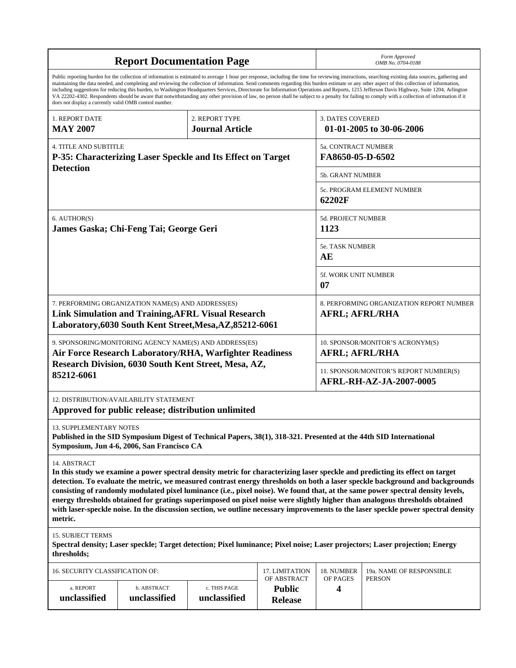| <b>Report Documentation Page</b>                                                                                                                                                                                                                                                                                                                                                                                                                                                                                                                                                                                                                                                                                                                                                                                                                                   |                                                                                                                       |                              |                                                                   |                                                                          | Form Approved<br>OMB No. 0704-0188      |  |  |
|--------------------------------------------------------------------------------------------------------------------------------------------------------------------------------------------------------------------------------------------------------------------------------------------------------------------------------------------------------------------------------------------------------------------------------------------------------------------------------------------------------------------------------------------------------------------------------------------------------------------------------------------------------------------------------------------------------------------------------------------------------------------------------------------------------------------------------------------------------------------|-----------------------------------------------------------------------------------------------------------------------|------------------------------|-------------------------------------------------------------------|--------------------------------------------------------------------------|-----------------------------------------|--|--|
| Public reporting burden for the collection of information is estimated to average 1 hour per response, including the time for reviewing instructions, searching existing data sources, gathering and<br>maintaining the data needed, and completing and reviewing the collection of information. Send comments regarding this burden estimate or any other aspect of this collection of information,<br>including suggestions for reducing this burden, to Washington Headquarters Services, Directorate for Information Operations and Reports, 1215 Jefferson Davis Highway, Suite 1204, Arlington<br>VA 22202-4302. Respondents should be aware that notwithstanding any other provision of law, no person shall be subject to a penalty for failing to comply with a collection of information if it<br>does not display a currently valid OMB control number. |                                                                                                                       |                              |                                                                   |                                                                          |                                         |  |  |
| 1. REPORT DATE                                                                                                                                                                                                                                                                                                                                                                                                                                                                                                                                                                                                                                                                                                                                                                                                                                                     |                                                                                                                       | 2. REPORT TYPE               | <b>3. DATES COVERED</b>                                           |                                                                          |                                         |  |  |
| <b>MAY 2007</b>                                                                                                                                                                                                                                                                                                                                                                                                                                                                                                                                                                                                                                                                                                                                                                                                                                                    |                                                                                                                       | <b>Journal Article</b>       |                                                                   |                                                                          | 01-01-2005 to 30-06-2006                |  |  |
| <b>4. TITLE AND SUBTITLE</b><br>P-35: Characterizing Laser Speckle and Its Effect on Target<br><b>Detection</b>                                                                                                                                                                                                                                                                                                                                                                                                                                                                                                                                                                                                                                                                                                                                                    |                                                                                                                       |                              |                                                                   |                                                                          | 5a. CONTRACT NUMBER<br>FA8650-05-D-6502 |  |  |
|                                                                                                                                                                                                                                                                                                                                                                                                                                                                                                                                                                                                                                                                                                                                                                                                                                                                    |                                                                                                                       |                              |                                                                   | <b>5b. GRANT NUMBER</b>                                                  |                                         |  |  |
|                                                                                                                                                                                                                                                                                                                                                                                                                                                                                                                                                                                                                                                                                                                                                                                                                                                                    |                                                                                                                       |                              |                                                                   | 5c. PROGRAM ELEMENT NUMBER<br>62202F                                     |                                         |  |  |
| 6. AUTHOR(S)<br>James Gaska; Chi-Feng Tai; George Geri                                                                                                                                                                                                                                                                                                                                                                                                                                                                                                                                                                                                                                                                                                                                                                                                             |                                                                                                                       |                              | 5d. PROJECT NUMBER<br>1123                                        |                                                                          |                                         |  |  |
|                                                                                                                                                                                                                                                                                                                                                                                                                                                                                                                                                                                                                                                                                                                                                                                                                                                                    |                                                                                                                       |                              |                                                                   | 5e. TASK NUMBER<br>AE                                                    |                                         |  |  |
|                                                                                                                                                                                                                                                                                                                                                                                                                                                                                                                                                                                                                                                                                                                                                                                                                                                                    |                                                                                                                       |                              | 5f. WORK UNIT NUMBER<br>07                                        |                                                                          |                                         |  |  |
| 7. PERFORMING ORGANIZATION NAME(S) AND ADDRESS(ES)                                                                                                                                                                                                                                                                                                                                                                                                                                                                                                                                                                                                                                                                                                                                                                                                                 | <b>Link Simulation and Training, AFRL Visual Research</b><br>Laboratory, 6030 South Kent Street, Mesa, AZ, 85212-6061 |                              | 8. PERFORMING ORGANIZATION REPORT NUMBER<br><b>AFRL; AFRL/RHA</b> |                                                                          |                                         |  |  |
| 9. SPONSORING/MONITORING AGENCY NAME(S) AND ADDRESS(ES)<br>Air Force Research Laboratory/RHA, Warfighter Readiness<br>Research Division, 6030 South Kent Street, Mesa, AZ,<br>85212-6061                                                                                                                                                                                                                                                                                                                                                                                                                                                                                                                                                                                                                                                                           |                                                                                                                       |                              |                                                                   | 10. SPONSOR/MONITOR'S ACRONYM(S)<br><b>AFRL; AFRL/RHA</b>                |                                         |  |  |
|                                                                                                                                                                                                                                                                                                                                                                                                                                                                                                                                                                                                                                                                                                                                                                                                                                                                    |                                                                                                                       |                              |                                                                   | 11. SPONSOR/MONITOR'S REPORT NUMBER(S)<br><b>AFRL-RH-AZ-JA-2007-0005</b> |                                         |  |  |
| 12. DISTRIBUTION/AVAILABILITY STATEMENT<br>Approved for public release; distribution unlimited                                                                                                                                                                                                                                                                                                                                                                                                                                                                                                                                                                                                                                                                                                                                                                     |                                                                                                                       |                              |                                                                   |                                                                          |                                         |  |  |
| 13. SUPPLEMENTARY NOTES<br>Published in the SID Symposium Digest of Technical Papers, 38(1), 318-321. Presented at the 44th SID International<br>Symposium, Jun 4-6, 2006, San Francisco CA                                                                                                                                                                                                                                                                                                                                                                                                                                                                                                                                                                                                                                                                        |                                                                                                                       |                              |                                                                   |                                                                          |                                         |  |  |
| 14. ABSTRACT<br>In this study we examine a power spectral density metric for characterizing laser speckle and predicting its effect on target<br>detection. To evaluate the metric, we measured contrast energy thresholds on both a laser speckle background and backgrounds<br>consisting of randomly modulated pixel luminance (i.e., pixel noise). We found that, at the same power spectral density levels,<br>energy thresholds obtained for gratings superimposed on pixel noise were slightly higher than analogous thresholds obtained<br>with laser-speckle noise. In the discussion section, we outline necessary improvements to the laser speckle power spectral density<br>metric.                                                                                                                                                                   |                                                                                                                       |                              |                                                                   |                                                                          |                                         |  |  |
| <b>15. SUBJECT TERMS</b><br>Spectral density; Laser speckle; Target detection; Pixel luminance; Pixel noise; Laser projectors; Laser projection; Energy<br>thresholds;                                                                                                                                                                                                                                                                                                                                                                                                                                                                                                                                                                                                                                                                                             |                                                                                                                       |                              |                                                                   |                                                                          |                                         |  |  |
| 16. SECURITY CLASSIFICATION OF:                                                                                                                                                                                                                                                                                                                                                                                                                                                                                                                                                                                                                                                                                                                                                                                                                                    |                                                                                                                       |                              | 17. LIMITATION                                                    | 18. NUMBER                                                               | 19a. NAME OF RESPONSIBLE                |  |  |
| OF ABSTRACT                                                                                                                                                                                                                                                                                                                                                                                                                                                                                                                                                                                                                                                                                                                                                                                                                                                        |                                                                                                                       | OF PAGES                     | <b>PERSON</b>                                                     |                                                                          |                                         |  |  |
| a. REPORT<br>unclassified                                                                                                                                                                                                                                                                                                                                                                                                                                                                                                                                                                                                                                                                                                                                                                                                                                          | b. ABSTRACT<br>unclassified                                                                                           | c. THIS PAGE<br>unclassified | <b>Public</b><br><b>Release</b>                                   | 4                                                                        |                                         |  |  |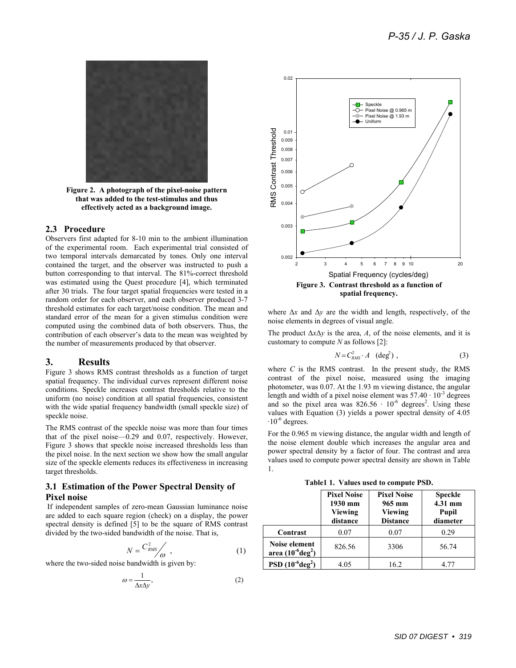

**Figure 2. A photograph of the pixel-noise pattern that was added to the test-stimulus and thus effectively acted as a background image.** 

#### **2.3 Procedure**

Observers first adapted for 8-10 min to the ambient illumination of the experimental room. Each experimental trial consisted of two temporal intervals demarcated by tones. Only one interval contained the target, and the observer was instructed to push a button corresponding to that interval. The 81%-correct threshold was estimated using the Quest procedure [4], which terminated after 30 trials. The four target spatial frequencies were tested in a random order for each observer, and each observer produced 3-7 threshold estimates for each target/noise condition. The mean and standard error of the mean for a given stimulus condition were computed using the combined data of both observers. Thus, the contribution of each observer's data to the mean was weighted by the number of measurements produced by that observer.

#### **3. Results**

Figure 3 shows RMS contrast thresholds as a function of target spatial frequency. The individual curves represent different noise conditions. Speckle increases contrast thresholds relative to the uniform (no noise) condition at all spatial frequencies, consistent with the wide spatial frequency bandwidth (small speckle size) of speckle noise.

The RMS contrast of the speckle noise was more than four times that of the pixel noise—0.29 and 0.07, respectively. However, Figure 3 shows that speckle noise increased thresholds less than the pixel noise. In the next section we show how the small angular size of the speckle elements reduces its effectiveness in increasing target thresholds.

#### **3.1 Estimation of the Power Spectral Density of Pixel noise**

 If independent samples of zero-mean Gaussian luminance noise are added to each square region (check) on a display, the power spectral density is defined [5] to be the square of RMS contrast divided by the two-sided bandwidth of the noise. That is,

$$
N = \frac{C_{RMS}^2}{\omega}, \qquad (1)
$$

where the two-sided noise bandwidth is given by:

$$
\omega = \frac{1}{\Delta x \Delta y},\tag{2}
$$



where Δ*x* and Δ*y* are the width and length, respectively, of the noise elements in degrees of visual angle.

The product  $\Delta x \Delta y$  is the area, *A*, of the noise elements, and it is customary to compute *N* as follows [2]:

$$
N = C_{RMS}^2 \cdot A \quad (\text{deg}^2) \tag{3}
$$

where  $C$  is the RMS contrast. In the present study, the RMS contrast of the pixel noise, measured using the imaging photometer, was 0.07. At the 1.93 m viewing distance, the angular length and width of a pixel noise element was  $57.40 \cdot 10^{-3}$  degrees and so the pixel area was  $826.56 \cdot 10^{-6}$  degrees<sup>2</sup>. Using these values with Equation (3) yields a power spectral density of 4.05  $\cdot 10^{-6}$  degrees.

For the 0.965 m viewing distance, the angular width and length of the noise element double which increases the angular area and power spectral density by a factor of four. The contrast and area values used to compute power spectral density are shown in Table 1.

**Table1 1. Values used to compute PSD.** 

|                                                | <b>Pixel Noise</b><br>1930 mm<br>Viewing<br>distance | <b>Pixel Noise</b><br>965 mm<br>Viewing<br><b>Distance</b> | <b>Speckle</b><br>4.31 mm<br><b>Pupil</b><br>diameter |
|------------------------------------------------|------------------------------------------------------|------------------------------------------------------------|-------------------------------------------------------|
| Contrast                                       | 0.07                                                 | 0.07                                                       | 0.29                                                  |
| Noise element<br>area $(10^{-6} \text{deg}^2)$ | 826.56                                               | 3306                                                       | 56.74                                                 |
| PSD $(10^{-6} \text{deg}^2)$                   | 4.05                                                 | 16.2                                                       | 4 77                                                  |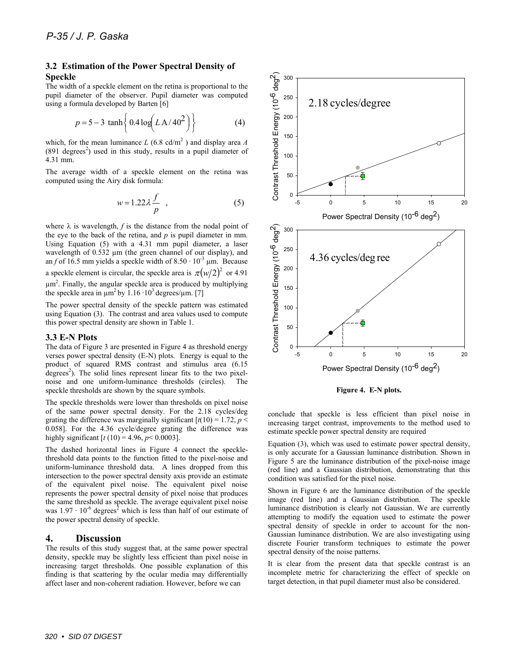#### **3.2 Estimation of the Power Spectral Density of Speckle**

The width of a speckle element on the retina is proportional to the pupil diameter of the observer. Pupil diameter was computed using a formula developed by Barten [6]

$$
p = 5 - 3 \tanh\left\{0.4 \log(LA/40^2)\right\}
$$
 (4)

which, for the mean luminance  $L(6.8 \text{ cd/m}^2)$  and display area *A*  $(891 \text{ degrees}^2)$  used in this study, results in a pupil diameter of 4.31 mm.

The average width of a speckle element on the retina was computed using the Airy disk formula:

$$
w = 1.22 \lambda \frac{f}{p} \quad , \tag{5}
$$

where  $\lambda$  is wavelength,  $f$  is the distance from the nodal point of the eye to the back of the retina, and *p* is pupil diameter in mm. Using Equation (5) with a 4.31 mm pupil diameter, a laser wavelength of 0.532  $\mu$ m (the green channel of our display), and an  $f$  of 16.5 mm yields a speckle width of  $8.50 \cdot 10^{-3}$  µm. Because a speckle element is circular, the speckle area is  $\pi ( \frac{w}{2} )^2$  or 4.91 µm2 . Finally, the angular speckle area is produced by multiplying the speckle area in  $\mu$ m<sup>2</sup> by 1.16 ·10<sup>3</sup> degrees/ $\mu$ m. [7]

The power spectral density of the speckle pattern was estimated using Equation (3). The contrast and area values used to compute this power spectral density are shown in Table 1.

#### **3.3 E-N Plots**

The data of Figure 3 are presented in Figure 4 as threshold energy verses power spectral density (E-N) plots. Energy is equal to the product of squared RMS contrast and stimulus area (6.15  $\alpha$  degrees<sup>2</sup>). The solid lines represent linear fits to the two pixelnoise and one uniform-luminance thresholds (circles). The speckle thresholds are shown by the square symbols.

The speckle thresholds were lower than thresholds on pixel noise of the same power spectral density. For the 2.18 cycles/deg grating the difference was marginally significant  $[t(10) = 1.72, p <$ 0.058]. For the 4.36 cycle/degree grating the difference was highly significant  $[t(10) = 4.96, p < 0.0003]$ .

The dashed horizontal lines in Figure 4 connect the specklethreshold data points to the function fitted to the pixel-noise and uniform-luminance threshold data. A lines dropped from this intersection to the power spectral density axis provide an estimate of the equivalent pixel noise. The equivalent pixel noise represents the power spectral density of pixel noise that produces the same threshold as speckle. The average equivalent pixel noise was  $1.97 \cdot 10^{-6}$  degrees<sup>2</sup> which is less than half of our estimate of the power spectral density of speckle.

#### **4. Discussion**

The results of this study suggest that, at the same power spectral density, speckle may be slightly less efficient than pixel noise in increasing target thresholds. One possible explanation of this finding is that scattering by the ocular media may differentially affect laser and non-coherent radiation. However, before we can



**Figure 4. E-N plots.** 

conclude that speckle is less efficient than pixel noise in increasing target contrast, improvements to the method used to estimate speckle power spectral density are required

Equation (3), which was used to estimate power spectral density, is only accurate for a Gaussian luminance distribution. Shown in Figure 5 are the luminance distribution of the pixel-noise image (red line) and a Gaussian distribution, demonstrating that this condition was satisfied for the pixel noise.

Shown in Figure 6 are the luminance distribution of the speckle image (red line) and a Gaussian distribution. The speckle luminance distribution is clearly not Gaussian. We are currently attempting to modify the equation used to estimate the power spectral density of speckle in order to account for the non-Gaussian luminance distribution. We are also investigating using discrete Fourier transform techniques to estimate the power spectral density of the noise patterns.

It is clear from the present data that speckle contrast is an incomplete metric for characterizing the effect of speckle on target detection, in that pupil diameter must also be considered.